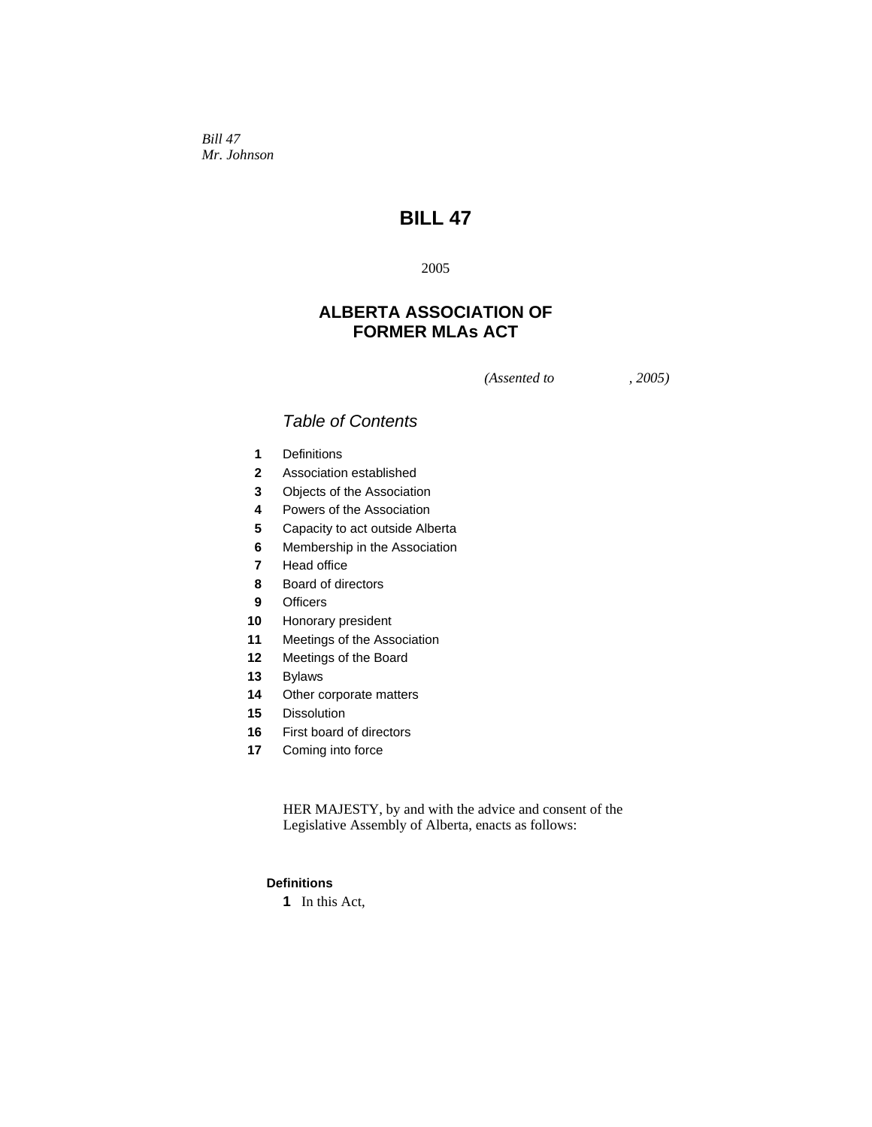*Bill 47 Mr. Johnson* 

# **BILL 47**

## 

## **ALBERTA ASSOCIATION OF FORMER MLAs ACT**

*(Assented to , 2005)* 

## *Table of Contents*

- Definitions
- Association established
- Objects of the Association
- Powers of the Association
- Capacity to act outside Alberta
- Membership in the Association
- Head office
- Board of directors
- Officers
- Honorary president
- Meetings of the Association
- Meetings of the Board
- Bylaws
- Other corporate matters
- Dissolution
- First board of directors
- Coming into force

HER MAJESTY, by and with the advice and consent of the Legislative Assembly of Alberta, enacts as follows:

## **Definitions**

In this Act,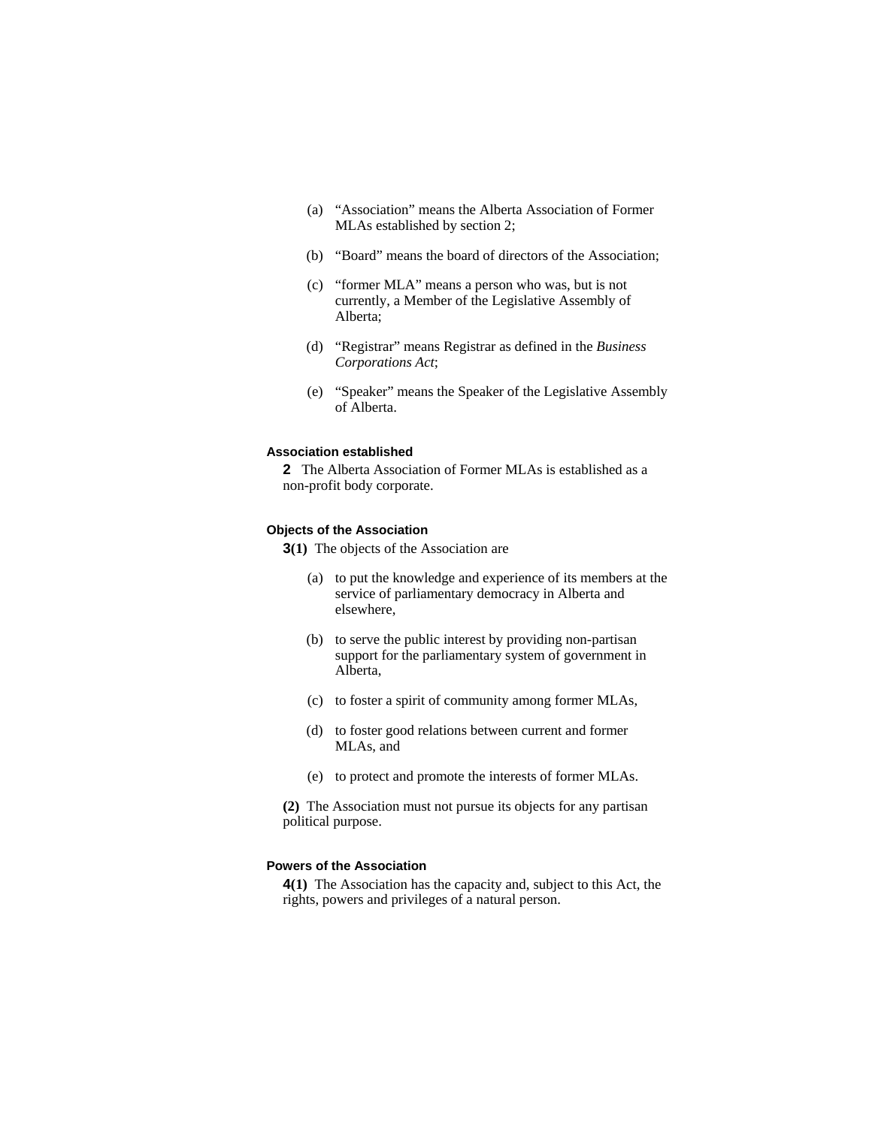- (a) "Association" means the Alberta Association of Former MLAs established by section 2;
- (b) "Board" means the board of directors of the Association;
- (c) "former MLA" means a person who was, but is not currently, a Member of the Legislative Assembly of Alberta;
- (d) "Registrar" means Registrar as defined in the *Business Corporations Act*;
- (e) "Speaker" means the Speaker of the Legislative Assembly of Alberta.

## **Association established**

**2** The Alberta Association of Former MLAs is established as a non-profit body corporate.

#### **Objects of the Association**

**3(1)** The objects of the Association are

- (a) to put the knowledge and experience of its members at the service of parliamentary democracy in Alberta and elsewhere,
- (b) to serve the public interest by providing non-partisan support for the parliamentary system of government in Alberta,
- (c) to foster a spirit of community among former MLAs,
- (d) to foster good relations between current and former MLAs, and
- (e) to protect and promote the interests of former MLAs.

**(2)** The Association must not pursue its objects for any partisan political purpose.

#### **Powers of the Association**

**4(1)** The Association has the capacity and, subject to this Act, the rights, powers and privileges of a natural person.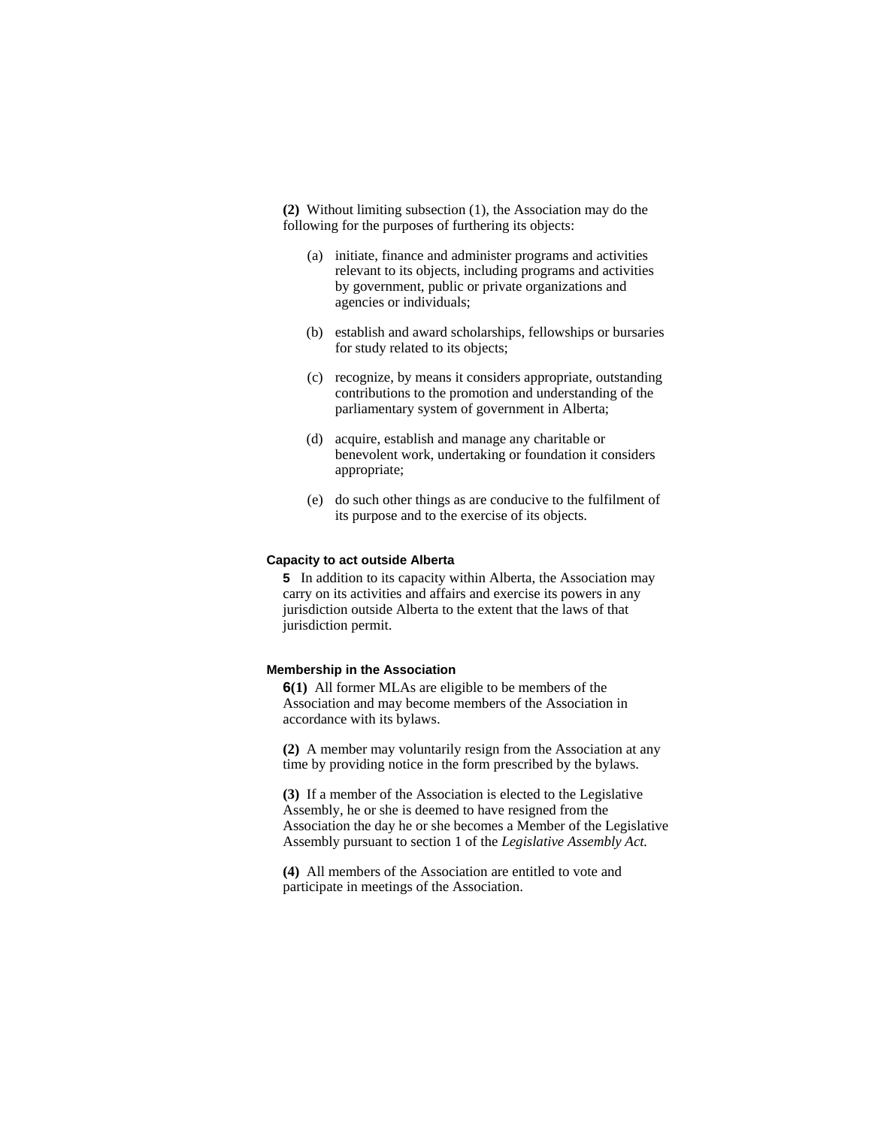**(2)** Without limiting subsection (1), the Association may do the following for the purposes of furthering its objects:

- (a) initiate, finance and administer programs and activities relevant to its objects, including programs and activities by government, public or private organizations and agencies or individuals;
- (b) establish and award scholarships, fellowships or bursaries for study related to its objects;
- (c) recognize, by means it considers appropriate, outstanding contributions to the promotion and understanding of the parliamentary system of government in Alberta;
- (d) acquire, establish and manage any charitable or benevolent work, undertaking or foundation it considers appropriate;
- (e) do such other things as are conducive to the fulfilment of its purpose and to the exercise of its objects.

#### **Capacity to act outside Alberta**

**5** In addition to its capacity within Alberta, the Association may carry on its activities and affairs and exercise its powers in any jurisdiction outside Alberta to the extent that the laws of that jurisdiction permit.

#### **Membership in the Association**

**6(1)** All former MLAs are eligible to be members of the Association and may become members of the Association in accordance with its bylaws.

**(2)** A member may voluntarily resign from the Association at any time by providing notice in the form prescribed by the bylaws.

**(3)** If a member of the Association is elected to the Legislative Assembly, he or she is deemed to have resigned from the Association the day he or she becomes a Member of the Legislative Assembly pursuant to section 1 of the *Legislative Assembly Act.*

**(4)** All members of the Association are entitled to vote and participate in meetings of the Association.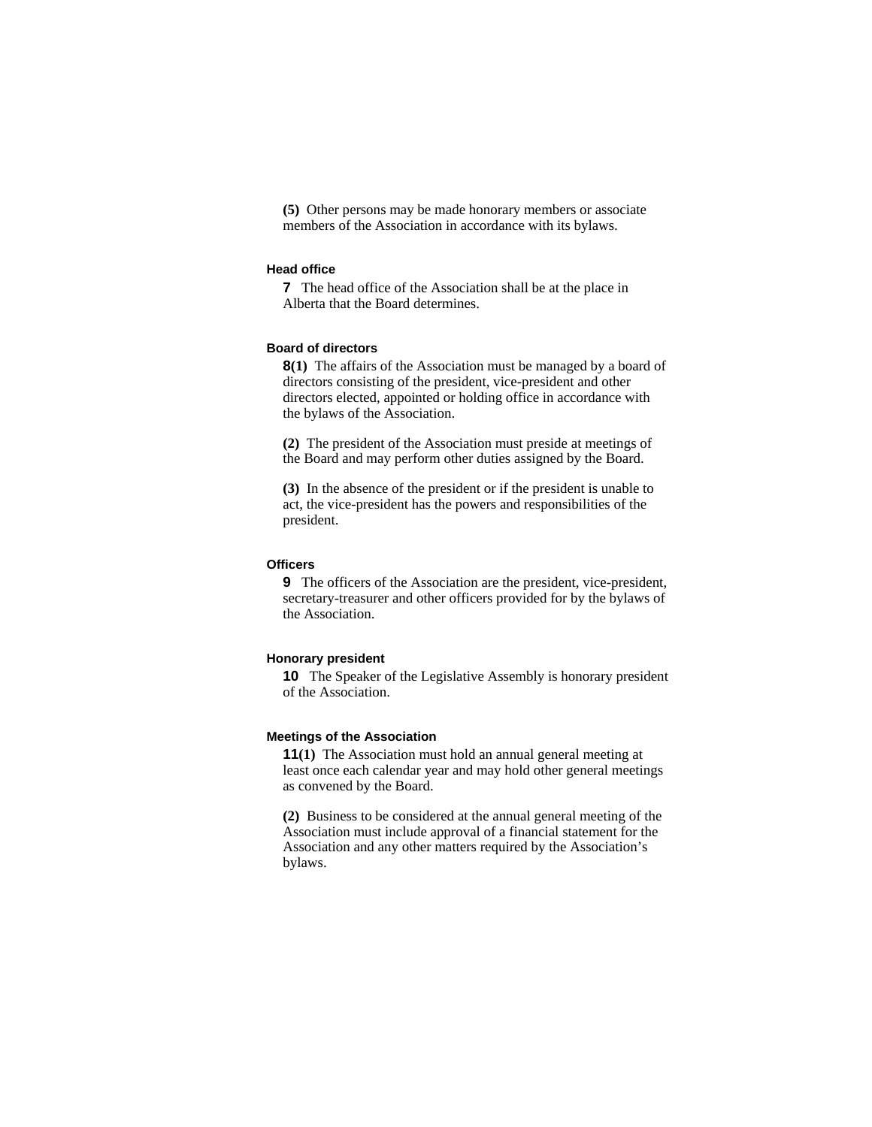**(5)** Other persons may be made honorary members or associate members of the Association in accordance with its bylaws.

#### **Head office**

**7** The head office of the Association shall be at the place in Alberta that the Board determines.

## **Board of directors**

**8(1)** The affairs of the Association must be managed by a board of directors consisting of the president, vice-president and other directors elected, appointed or holding office in accordance with the bylaws of the Association.

**(2)** The president of the Association must preside at meetings of the Board and may perform other duties assigned by the Board.

**(3)** In the absence of the president or if the president is unable to act, the vice-president has the powers and responsibilities of the president.

## **Officers**

**9** The officers of the Association are the president, vice-president, secretary-treasurer and other officers provided for by the bylaws of the Association.

## **Honorary president**

**10** The Speaker of the Legislative Assembly is honorary president of the Association.

#### **Meetings of the Association**

**11(1)** The Association must hold an annual general meeting at least once each calendar year and may hold other general meetings as convened by the Board.

**(2)** Business to be considered at the annual general meeting of the Association must include approval of a financial statement for the Association and any other matters required by the Association's bylaws.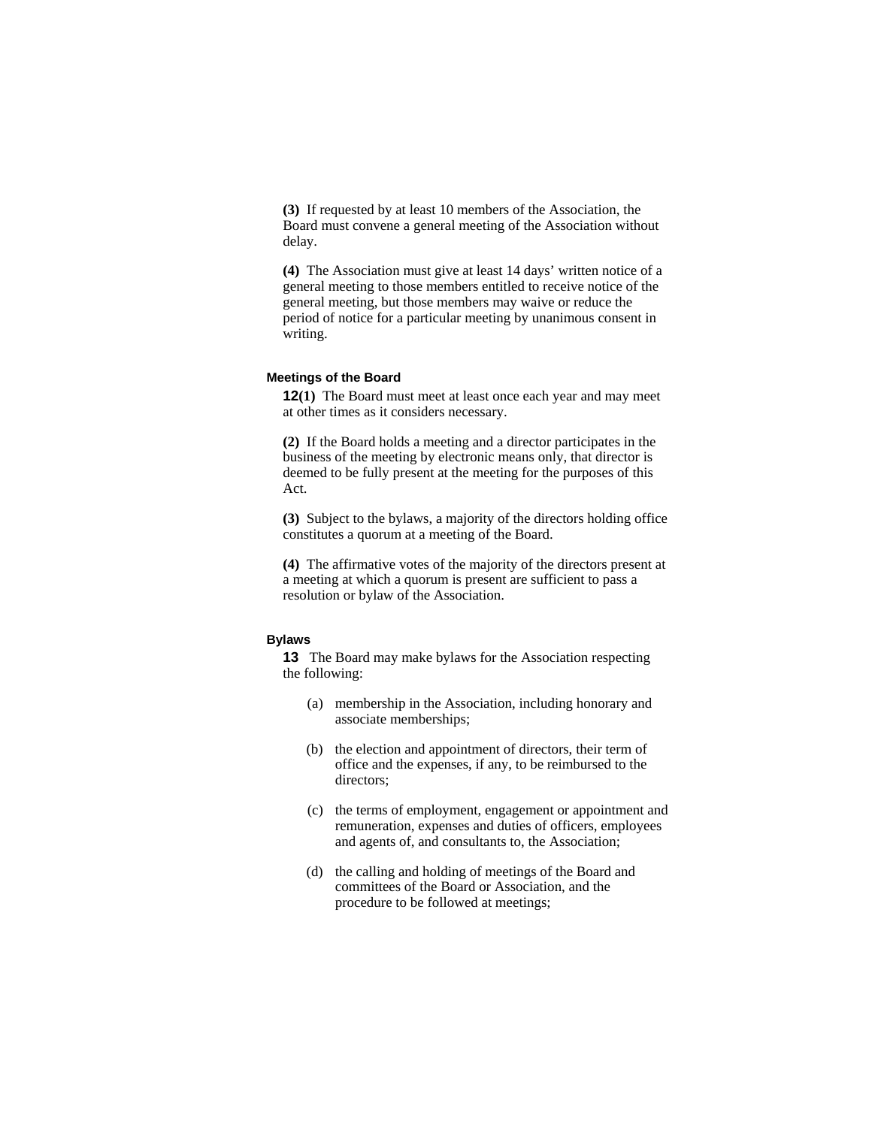**(3)** If requested by at least 10 members of the Association, the Board must convene a general meeting of the Association without delay.

**(4)** The Association must give at least 14 days' written notice of a general meeting to those members entitled to receive notice of the general meeting, but those members may waive or reduce the period of notice for a particular meeting by unanimous consent in writing.

#### **Meetings of the Board**

**12(1)** The Board must meet at least once each year and may meet at other times as it considers necessary.

**(2)** If the Board holds a meeting and a director participates in the business of the meeting by electronic means only, that director is deemed to be fully present at the meeting for the purposes of this Act.

**(3)** Subject to the bylaws, a majority of the directors holding office constitutes a quorum at a meeting of the Board.

**(4)** The affirmative votes of the majority of the directors present at a meeting at which a quorum is present are sufficient to pass a resolution or bylaw of the Association.

#### **Bylaws**

**13** The Board may make bylaws for the Association respecting the following:

- (a) membership in the Association, including honorary and associate memberships;
- (b) the election and appointment of directors, their term of office and the expenses, if any, to be reimbursed to the directors;
- (c) the terms of employment, engagement or appointment and remuneration, expenses and duties of officers, employees and agents of, and consultants to, the Association;
- (d) the calling and holding of meetings of the Board and committees of the Board or Association, and the procedure to be followed at meetings;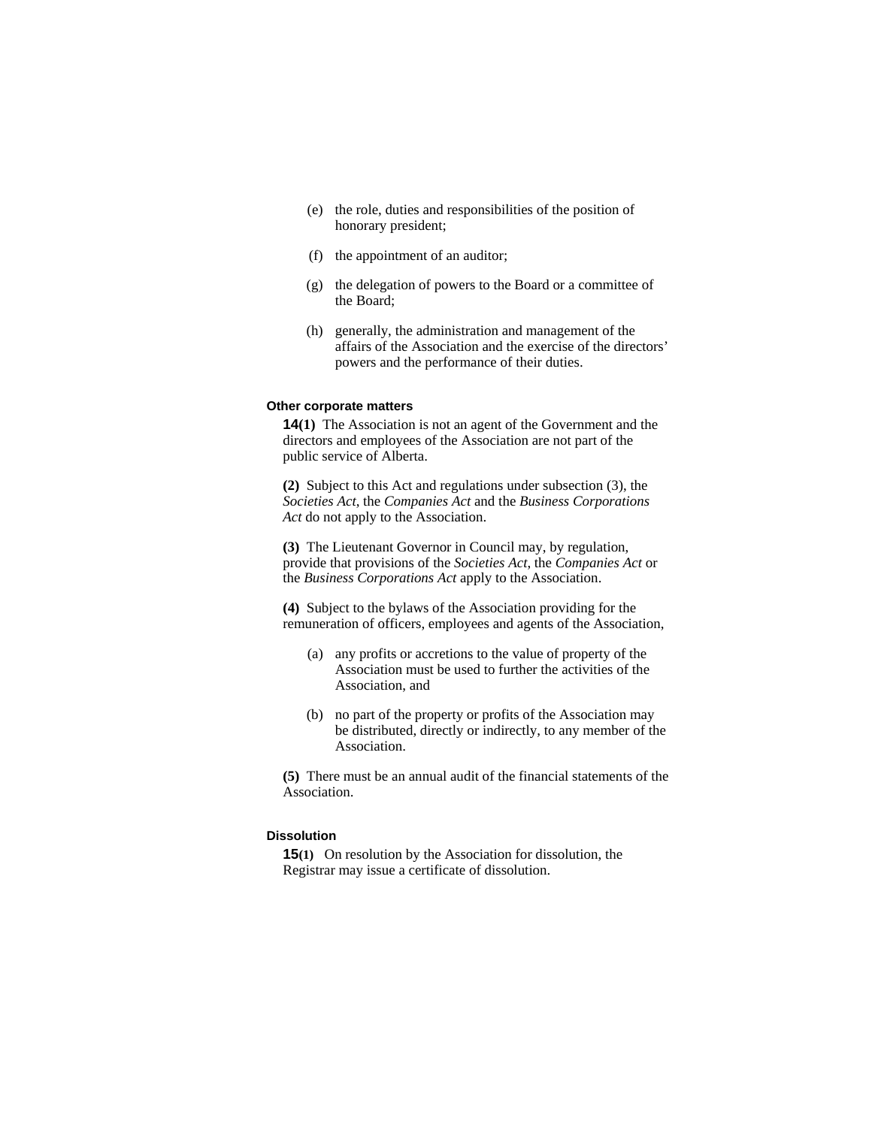- (e) the role, duties and responsibilities of the position of honorary president;
- (f) the appointment of an auditor;
- (g) the delegation of powers to the Board or a committee of the Board;
- (h) generally, the administration and management of the affairs of the Association and the exercise of the directors' powers and the performance of their duties.

### **Other corporate matters**

**14(1)** The Association is not an agent of the Government and the directors and employees of the Association are not part of the public service of Alberta.

**(2)** Subject to this Act and regulations under subsection (3), the *Societies Act*, the *Companies Act* and the *Business Corporations Act* do not apply to the Association.

**(3)** The Lieutenant Governor in Council may, by regulation, provide that provisions of the *Societies Act*, the *Companies Act* or the *Business Corporations Act* apply to the Association.

**(4)** Subject to the bylaws of the Association providing for the remuneration of officers, employees and agents of the Association,

- (a) any profits or accretions to the value of property of the Association must be used to further the activities of the Association, and
- (b) no part of the property or profits of the Association may be distributed, directly or indirectly, to any member of the Association.

**(5)** There must be an annual audit of the financial statements of the Association.

## **Dissolution**

**15(1)** On resolution by the Association for dissolution, the Registrar may issue a certificate of dissolution.